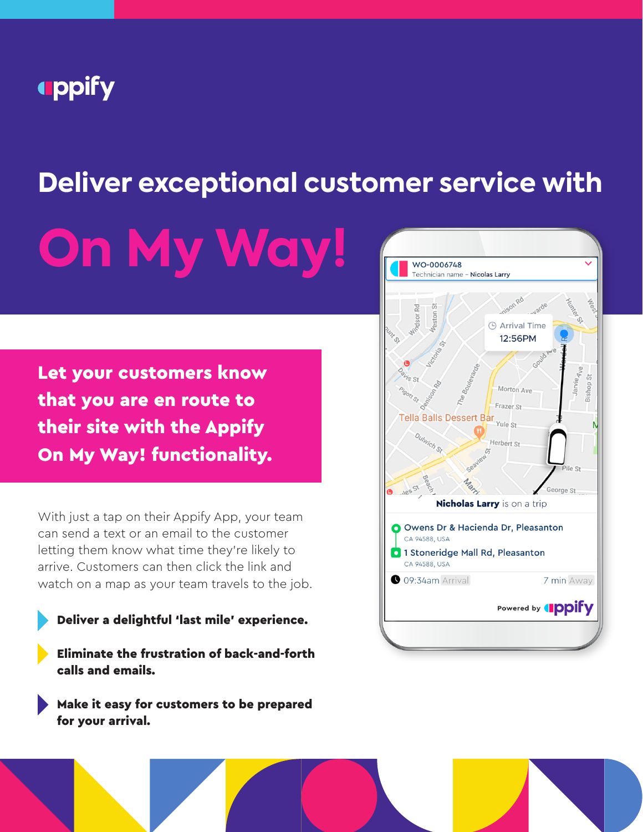## **uppify**

# **Deliver exceptional customer service with**

**On My Way!**

Let your customers know that you are en route to their site with the Appify On My Way! functionality.

With just a tap on their Appify App, your team can send a text or an email to the customer letting them know what time they're likely to arrive. Customers can then click the link and watch on a map as your team travels to the job.

- Deliver a delightful 'last mile' experience.
- Eliminate the frustration of back-and-forth calls and emails.

Make it easy for customers to be prepared for your arrival.